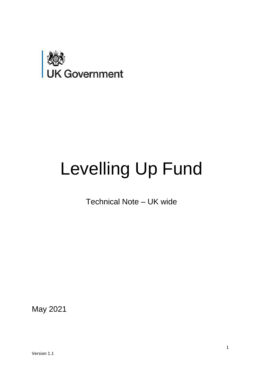

# Levelling Up Fund

Technical Note – UK wide

May 2021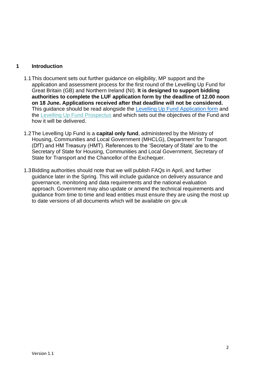#### **1 Introduction**

- application and assessment process for the first round of the Levelling Up Fund for Great Britain (GB) and Northern Ireland (NI). **It is designed to support bidding authorities to complete the LUF application form by the deadline of 12.00 noon on 18 June. Applications received after that deadline will not be considered.**  This guidance should be read alongside the [Levelling Up Fund Application form a](https://www.gov.uk/government/publications/levelling-up-fund-additional-documents)nd the [Levelling Up Fund Prospectus a](https://assets.publishing.service.gov.uk/government/uploads/system/uploads/attachment_data/file/966138/Levelling_Up_prospectus.pdf)nd which sets out the objectives of the Fund and 1.1This document sets out further guidance on eligibility, MP support and the how it will be delivered.
- 1.2The Levelling Up Fund is a **capital only fund**, administered by the Ministry of Housing, Communities and Local Government (MHCLG), Department for Transport (DfT) and HM Treasury (HMT). References to the 'Secretary of State' are to the Secretary of State for Housing, Communities and Local Government, Secretary of State for Transport and the Chancellor of the Exchequer.
- 1.3Bidding authorities should note that we will publish FAQs in April, and further guidance later in the Spring. This will include guidance on delivery assurance and governance, monitoring and data requirements and the national evaluation approach. Government may also update or amend the technical requirements and guidance from time to time and lead entities must ensure they are using the most up to date versions of all documents which will be available on gov.uk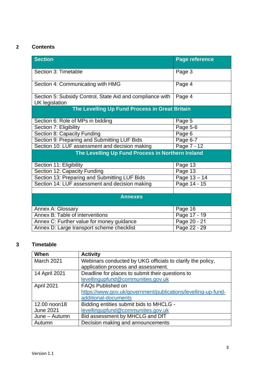# **2 Contents**

| <b>Section</b>                                            | <b>Page reference</b> |  |  |
|-----------------------------------------------------------|-----------------------|--|--|
|                                                           |                       |  |  |
| Section 3: Timetable                                      | Page 3                |  |  |
|                                                           |                       |  |  |
| Section 4: Communicating with HMG                         | Page 4                |  |  |
| Section 5: Subsidy Control, State Aid and compliance with | Page 4                |  |  |
| <b>UK</b> legislation                                     |                       |  |  |
| The Levelling Up Fund Process in Great Britain            |                       |  |  |
|                                                           |                       |  |  |
| Section 6: Role of MPs in bidding                         | Page 5                |  |  |
| Section 7: Eligibility                                    | Page 5-6              |  |  |
| Section 8: Capacity Funding                               | Page 6                |  |  |
| Section 9: Preparing and Submitting LUF Bids              | Page 6-7              |  |  |
| Section 10: LUF assessment and decision making            | Page 7 - 12           |  |  |
| The Levelling Up Fund Process in Northern Ireland         |                       |  |  |
|                                                           |                       |  |  |
| Section 11: Eligibility                                   | Page 13               |  |  |
| Section 12: Capacity Funding                              | Page 13               |  |  |
| Section 13: Preparing and Submitting LUF Bids             | Page 13 - 14          |  |  |
| Section 14: LUF assessment and decision making            | Page 14 - 15          |  |  |
|                                                           |                       |  |  |
| <b>Annexes</b>                                            |                       |  |  |
| Annex A: Glossary                                         | Page 16               |  |  |
| Annex B: Table of interventions                           | Page 17 - 19          |  |  |
| Annex C: Further value for money guidance                 | Page 20 - 21          |  |  |
| Annex D: Large transport scheme checklist                 | Page 22 - 29          |  |  |

# **3 Timetable**

| When             | <b>Activity</b>                                               |
|------------------|---------------------------------------------------------------|
| March 2021       | Webinars conducted by UKG officials to clarify the policy,    |
|                  | application process and assessment.                           |
| 14 April 2021    | Deadline for places to submit their questions to              |
|                  | levellingupfund@communities.gov.uk                            |
| April 2021       | <b>FAQs Published on</b>                                      |
|                  | https://www.gov.uk/government/publications/levelling-up-fund- |
|                  | additional-documents                                          |
| 12.00 noon18     | Bidding entities submit bids to MHCLG -                       |
| <b>June 2021</b> | levellingupfund@communities.gov.uk                            |
| June - Autumn    | Bid assessment by MHCLG and DfT                               |
| Autumn           | Decision making and announcements                             |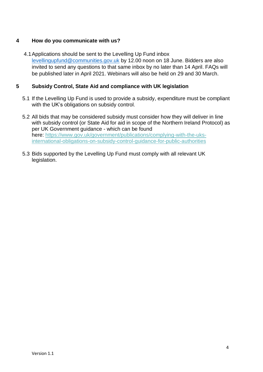#### <span id="page-3-0"></span>**4 How do you communicate with us?**

 4.1Applications should be sent to the Levelling Up Fund inbox [levellingupfund@communities.gov.uk b](mailto:levellingupfund@communities.gov.uk)y 12.00 noon on 18 June. Bidders are also invited to send any questions to that same inbox by no later than 14 April. FAQs will be published later in April 2021. Webinars will also be held on 29 and 30 March.

#### **5 Subsidy Control, State Aid and compliance with UK legislation**

- 5.1 If the Levelling Up Fund is used to provide a subsidy, expenditure must be compliant with the UK's obligations on subsidy control.
- 5.2 All bids that may be considered subsidy must consider how they will deliver in line with subsidy control (or State Aid for aid in scope of the Northern Ireland Protocol) as per UK Government guidance - which can be found here: https://www.gov.uk/government/publications/complying-with-the-uks[international-obligations-on-subsidy-control-guidance-for-public-authorities](https://www.gov.uk/government/publications/complying-with-the-uks-international-obligations-on-subsidy-control-guidance-for-public-authorities)
- 5.3 Bids supported by the Levelling Up Fund must comply with all relevant UK legislation.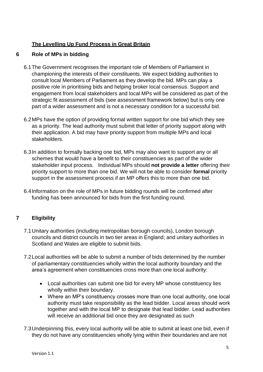# <span id="page-4-0"></span>**The Levelling Up Fund Process in Great Britain**

#### **6 Role of MPs in bidding**

- 6.1The Government recognises the important role of Members of Parliament in championing the interests of their constituents. We expect bidding authorities to consult local Members of Parliament as they develop the bid. MPs can play a positive role in prioritising bids and helping broker local consensus. Support and engagement from local stakeholders and local MPs will be considered as part of the strategic fit assessment of bids (see assessment framework below) but is only one part of a wider assessment and is not a necessary condition for a successful bid.
- 6.2MPs have the option of providing formal written support for one bid which they see as a priority. The lead authority must submit that letter of priority support along with their application. A bid may have priority support from multiple MPs and local stakeholders.
- 6.3In addition to formally backing one bid, MPs may also want to support any or all schemes that would have a benefit to their constituencies as part of the wider  stakeholder input process. Individual MPs should **not provide a letter** offering their priority support to more than one bid. We will not be able to consider **formal** priority support in the assessment process if an MP offers this to more than one bid.
- 6.4Information on the role of MPs in future bidding rounds will be confirmed after funding has been announced for bids from the first funding round.

#### **7 Eligibility**

- 7.1Unitary authorities (including metropolitan borough councils), London borough councils and district councils in two tier areas in England; and unitary authorities in Scotland and Wales are eligible to submit bids.
- 7.2Local authorities will be able to submit a number of bids determined by the number of parliamentary constituencies wholly within the local authority boundary and the area's agreement when constituencies cross more than one local authority:
	- • Local authorities can submit one bid for every MP whose constituency lies wholly within their boundary.
	- • Where an MP's constituency crosses more than one local authority, one local authority must take responsibility as the lead bidder. Local areas should work together and with the local MP to designate that lead bidder. Lead authorities will receive an additional bid once they are designated as such
- 7.3Underpinning this, every local authority will be able to submit at least one bid, even if they do not have any constituencies wholly lying within their boundaries and are not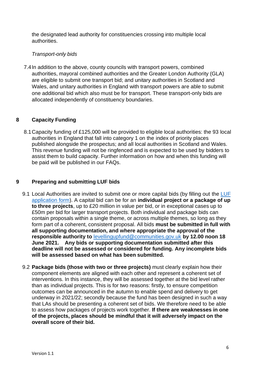<span id="page-5-0"></span> the designated lead authority for constituencies crossing into multiple local authorities.

#### *Transport-only bids*

 7.4In addition to the above, county councils with transport powers, combined authorities, mayoral combined authorities and the Greater London Authority (GLA) are eligible to submit one transport bid; and unitary authorities in Scotland and Wales, and unitary authorities in England with transport powers are able to submit one additional bid which also must be for transport. These transport-only bids are allocated independently of constituency boundaries.

#### **8 Capacity Funding**

 8.1Capacity funding of £125,000 will be provided to eligible local authorities: the 93 local published alongside the prospectus; and all local authorities in Scotland and Wales. This revenue funding will not be ringfenced and is expected to be used by bidders to assist them to build capacity. Further information on how and when this funding will authorities in England that fall into category 1 on the index of priority places be paid will be published in our FAQs.

#### **9 Preparing and submitting LUF bids**

- 9.1 Local Authorities are invited to submit one or more capital bids (by filling out the LUF [application form\)](https://www.gov.uk/government/publications/levelling-up-fund-additional-documents). A capital bid can be for an **individual project or a package of up**  £50m per bid for larger transport projects. Both individual and package bids can contain proposals within a single theme, or across multiple themes, so long as they form part of a coherent, consistent proposal. All bids **must be submitted in full with all supporting documentation, and where appropriate the approval of the responsible authority to** [levellingupfund@communities.gov.uk](mailto:levellingupfund@communities.gov.uk) **by 12.00 noon 18 June 2021. Any bids or supporting documentation submitted after this deadline will not be assessed or considered for funding. Any incomplete bids will be assessed based on what has been submitted. to three projects**, up to £20 million in value per bid, or in exceptional cases up to
- 9.2 **Package bids (those with two or three projects)** must clearly explain how their component elements are aligned with each other and represent a coherent set of interventions. In this instance, they will be assessed together at the bid level rather than as individual projects. This is for two reasons: firstly, to ensure competition outcomes can be announced in the autumn to enable spend and delivery to get underway in 2021/22; secondly because the fund has been designed in such a way  to assess how packages of projects work together. **If there are weaknesses in one of the projects, places should be mindful that it will adversely impact on the**  that LAs should be presenting a coherent set of bids. We therefore need to be able **overall score of their bid.**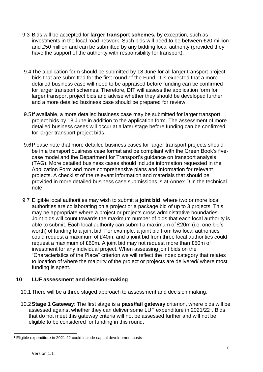- <span id="page-6-0"></span> 9.3 Bids will be accepted for **larger transport schemes,** by exception, such as investments in the local road network. Such bids will need to be between £20 million and £50 million and can be submitted by any bidding local authority (provided they have the support of the authority with responsibility for transport).
- 9.4The application form should be submitted by 18 June for all larger transport project bids that are submitted for the first round of the Fund. It is expected that a more detailed business case will need to be appraised before funding can be confirmed for larger transport schemes. Therefore, DfT will assess the application form for larger transport project bids and advise whether they should be developed further and a more detailed business case should be prepared for review.
- 9.5If available, a more detailed business case may be submitted for larger transport project bids by 18 June in addition to the application form. The assessment of more detailed business cases will occur at a later stage before funding can be confirmed for larger transport project bids.
- 9.6Please note that more detailed business cases for larger transport projects should be in a transport business case format and be compliant with the Green Book's five- case model and the Department for Transport's guidance on transport analysis (TAG). More detailed business cases should include information requested in the Application Form and more comprehensive plans and information for relevant projects. A checklist of the relevant information and materials that should be provided in more detailed business case submissions is at Annex D in the technical note.
- 9.7 Eligible local authorities may wish to submit a **joint bid**, where two or more local authorities are collaborating on a project or a package bid of up to 3 projects. This Joint bids will count towards the maximum number of bids that each local authority is able to submit. Each local authority can submit a maximum of £20m (i.e. one bid's worth) of funding to a joint bid. For example, a joint bid from two local authorities could request a maximum of £40m, and a joint bid from three local authorities could request a maximum of £60m. A joint bid may not request more than £50m of investment for any individual project. When assessing joint bids on the to location of where the majority of the project or projects are delivered/ where most may be appropriate where a project or projects cross administrative boundaries. "Characteristics of the Place" criterion we will reflect the index category that relates funding is spent.

#### **10 LUF assessment and decision-making**

- 10.1 There will be a three staged approach to assessment and decision making.
- 10.2 **Stage 1 Gateway**: The first stage is a **pass/fail gateway** criterion, where bids will be assessed against whether they can deliver some LUF expenditure in 2021/22<sup>1</sup>. Bids that do not meet this gateway criteria will not be assessed further and will not be eligible to be considered for funding in this round**.**

<sup>&</sup>lt;sup>1</sup> Eligible expenditure in 2021-22 could include capital development costs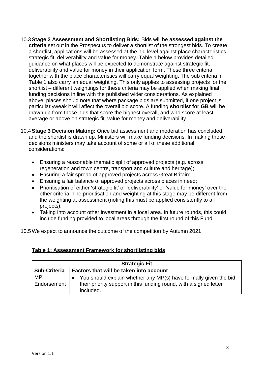- 10.3 **Stage 2 Assessment and Shortlisting Bids:** Bids will be **assessed against the**  a shortlist, applications will be assessed at the bid level against place characteristics, strategic fit, deliverability and value for money. Table 1 below provides detailed guidance on what places will be expected to demonstrate against strategic fit, deliverability and value for money in their application form. These three criteria, together with the place characteristics will carry equal weighting. The sub criteria in Table 1 also carry an equal weighting. This only applies to assessing projects for the shortlist – different weightings for these criteria may be applied when making final funding decisions in line with the published wider considerations. As explained above, places should note that where package bids are submitted, if one project is particularlyweak it will affect the overall bid score. A funding **shortlist for GB** will be drawn up from those bids that score the highest overall, and who score at least **criteria** set out in the Prospectus to deliver a shortlist of the strongest bids. To create average or above on strategic fit, value for money and deliverability.
- 10.4 **Stage 3 Decision Making:** Once bid assessment and moderation has concluded, and the shortlist is drawn up, Ministers will make funding decisions. In making these decisions ministers may take account of some or all of these additional considerations:
	- Ensuring a reasonable thematic split of approved projects (e.g. across regeneration and town centre, transport and culture and heritage);
	- Ensuring a fair spread of approved projects across Great Britain;
	- Ensuring a fair balance of approved projects across places in need;
	- • Prioritisation of either 'strategic fit' or 'deliverability' or 'value for money' over the other criteria. The prioritisation and weighting at this stage may be different from the weighting at assessment (noting this must be applied consistently to all projects);
	- • Taking into account other investment in a local area. In future rounds, this could include funding provided to local areas through the first round of this Fund.

10.5 We expect to announce the outcome of the competition by Autumn 2021

| Table 1: Assessment Framework for shortlisting bids |  |
|-----------------------------------------------------|--|
|                                                     |  |

| <b>Strategic Fit</b> |                                                                                 |  |  |
|----------------------|---------------------------------------------------------------------------------|--|--|
| <b>Sub-Criteria</b>  | Factors that will be taken into account                                         |  |  |
| MP                   | You should explain whether any MP(s) have formally given the bid                |  |  |
| Endorsement          | their priority support in this funding round, with a signed letter<br>included. |  |  |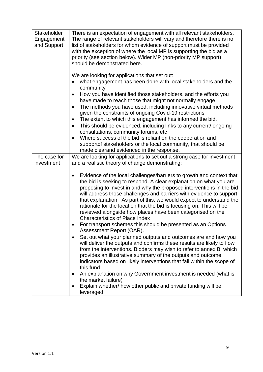| <b>Stakeholder</b><br>Engagement<br>and Support | There is an expectation of engagement with all relevant stakeholders.<br>The range of relevant stakeholders will vary and therefore there is no<br>list of stakeholders for whom evidence of support must be provided<br>with the exception of where the local MP is supporting the bid as a<br>priority (see section below). Wider MP (non-priority MP support)<br>should be demonstrated here.                                                                                                                                                                                                                                                                                                |
|-------------------------------------------------|-------------------------------------------------------------------------------------------------------------------------------------------------------------------------------------------------------------------------------------------------------------------------------------------------------------------------------------------------------------------------------------------------------------------------------------------------------------------------------------------------------------------------------------------------------------------------------------------------------------------------------------------------------------------------------------------------|
|                                                 | We are looking for applications that set out:<br>what engagement has been done with local stakeholders and the<br>community<br>How you have identified those stakeholders, and the efforts you<br>have made to reach those that might not normally engage<br>The methods you have used, including innovative virtual methods<br>given the constraints of ongoing Covid-19 restrictions<br>The extent to which this engagement has informed the bid.<br>This should be evidenced, including links to any current/ ongoing<br>consultations, community forums, etc<br>Where success of the bid is reliant on the cooperation and<br>supportof stakeholders or the local community, that should be |
|                                                 | made clearand evidenced in the response.                                                                                                                                                                                                                                                                                                                                                                                                                                                                                                                                                                                                                                                        |
| The case for<br>investment                      | We are looking for applications to set out a strong case for investment<br>and a realistic theory of change demonstrating:                                                                                                                                                                                                                                                                                                                                                                                                                                                                                                                                                                      |
|                                                 | Evidence of the local challenges/barriers to growth and context that<br>the bid is seeking to respond. A clear explanation on what you are<br>proposing to invest in and why the proposed interventions in the bid<br>will address those challenges and barriers with evidence to support<br>that explanation. As part of this, we would expect to understand the<br>rationale for the location that the bid is focusing on. This will be<br>reviewed alongside how places have been categorised on the<br><b>Characteristics of Place Index</b>                                                                                                                                                |
|                                                 | For transport schemes this should be presented as an Options<br>Assessment Report (OAR).                                                                                                                                                                                                                                                                                                                                                                                                                                                                                                                                                                                                        |
|                                                 | Set out what your planned outputs and outcomes are and how you<br>٠<br>will deliver the outputs and confirms these results are likely to flow<br>from the interventions. Bidders may wish to refer to annex B, which<br>provides an illustrative summary of the outputs and outcome<br>indicators based on likely interventions that fall within the scope of<br>this fund                                                                                                                                                                                                                                                                                                                      |
|                                                 | An explanation on why Government investment is needed (what is<br>٠<br>the market failure)                                                                                                                                                                                                                                                                                                                                                                                                                                                                                                                                                                                                      |
|                                                 | Explain whether/ how other public and private funding will be<br>٠<br>leveraged                                                                                                                                                                                                                                                                                                                                                                                                                                                                                                                                                                                                                 |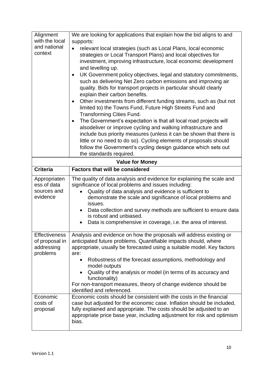| Alignment              | We are looking for applications that explain how the bid aligns to and                            |  |  |  |
|------------------------|---------------------------------------------------------------------------------------------------|--|--|--|
| with the local         | supports:                                                                                         |  |  |  |
| and national           | relevant local strategies (such as Local Plans, local economic<br>$\bullet$                       |  |  |  |
| context                | strategies or Local Transport Plans) and local objectives for                                     |  |  |  |
|                        | investment, improving infrastructure, local economic development                                  |  |  |  |
|                        | and levelling up.                                                                                 |  |  |  |
|                        | UK Government policy objectives, legal and statutory commitments,<br>$\bullet$                    |  |  |  |
|                        | such as delivering Net Zero carbon emissions and improving air                                    |  |  |  |
|                        | quality. Bids for transport projects in particular should clearly                                 |  |  |  |
|                        | explain their carbon benefits.                                                                    |  |  |  |
|                        | Other investments from different funding streams, such as (but not<br>$\bullet$                   |  |  |  |
|                        | limited to) the Towns Fund, Future High Streets Fund and<br><b>Transforming Cities Fund.</b>      |  |  |  |
|                        | The Government's expectation is that all local road projects will<br>$\bullet$                    |  |  |  |
|                        | alsodeliver or improve cycling and walking infrastructure and                                     |  |  |  |
|                        | include bus priority measures (unless it can be shown that there is                               |  |  |  |
|                        | little or no need to do so). Cycling elements of proposals should                                 |  |  |  |
|                        | follow the Government's cycling design guidance which sets out                                    |  |  |  |
|                        | the standards required.                                                                           |  |  |  |
| <b>Value for Money</b> |                                                                                                   |  |  |  |
| <b>Criteria</b>        | <b>Factors that will be considered</b>                                                            |  |  |  |
| Appropriaten           | The quality of data analysis and evidence for explaining the scale and                            |  |  |  |
| ess of data            | significance of local problems and issues including:                                              |  |  |  |
| sources and            | Quality of data analysis and evidence is sufficient to                                            |  |  |  |
| evidence               | demonstrate the scale and significance of local problems and<br>issues.                           |  |  |  |
|                        | Data collection and survey methods are sufficient to ensure data<br>$\bullet$                     |  |  |  |
|                        | is robust and unbiased.                                                                           |  |  |  |
|                        | Data is comprehensive in coverage, i.e. the area of interest.                                     |  |  |  |
|                        |                                                                                                   |  |  |  |
| <b>Effectiveness</b>   | Analysis and evidence on how the proposals will address existing or                               |  |  |  |
| of proposal in         | anticipated future problems. Quantifiable impacts should, where                                   |  |  |  |
| addressing<br>problems | appropriate, usually be forecasted using a suitable model. Key factors<br>are:                    |  |  |  |
|                        | Robustness of the forecast assumptions, methodology and<br>$\bullet$                              |  |  |  |
|                        | model outputs                                                                                     |  |  |  |
|                        | Quality of the analysis or model (in terms of its accuracy and                                    |  |  |  |
|                        | functionality)                                                                                    |  |  |  |
|                        | For non-transport measures, theory of change evidence should be                                   |  |  |  |
|                        | identified and referenced.<br>Economic costs should be consistent with the costs in the financial |  |  |  |
| Economic<br>costs of   | case but adjusted for the economic case. Inflation should be included,                            |  |  |  |
| proposal               | fully explained and appropriate. The costs should be adjusted to an                               |  |  |  |
|                        | appropriate price base year, including adjustment for risk and optimism                           |  |  |  |
|                        | bias.                                                                                             |  |  |  |
|                        |                                                                                                   |  |  |  |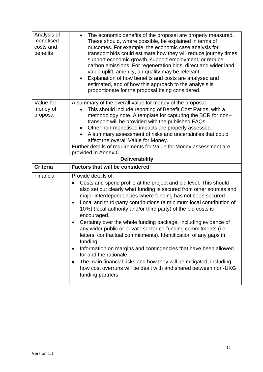| Analysis of<br>monetised<br>costs and<br>benefits | The economic benefits of the proposal are properly measured.<br>$\bullet$<br>These should, where possible, be explained in terms of<br>outcomes. For example, the economic case analysis for<br>transport bids could estimate how they will reduce journey times,<br>support economic growth, support employment, or reduce<br>carbon emissions. For regeneration bids, direct and wider land<br>value uplift, amenity, air quality may be relevant.<br>Explanation of how benefits and costs are analysed and<br>estimated, and of how this approach to the analysis is<br>proportionate for the proposal being considered.                                                                    |
|---------------------------------------------------|-------------------------------------------------------------------------------------------------------------------------------------------------------------------------------------------------------------------------------------------------------------------------------------------------------------------------------------------------------------------------------------------------------------------------------------------------------------------------------------------------------------------------------------------------------------------------------------------------------------------------------------------------------------------------------------------------|
| Value for<br>money of<br>proposal                 | A summary of the overall value for money of the proposal.<br>This should include reporting of Benefit Cost Ratios, with a<br>methodology note. A template for capturing the BCR for non-<br>transport will be provided with the published FAQs.<br>Other non-monetised impacts are properly assessed.<br>$\bullet$<br>A summary assessment of risks and uncertainties that could<br>affect the overall Value for Money.<br>Further details of requirements for Value for Money assessment are<br>provided in Annex C.<br><b>Deliverability</b>                                                                                                                                                  |
|                                                   |                                                                                                                                                                                                                                                                                                                                                                                                                                                                                                                                                                                                                                                                                                 |
| <b>Criteria</b>                                   | <b>Factors that will be considered</b>                                                                                                                                                                                                                                                                                                                                                                                                                                                                                                                                                                                                                                                          |
| Financial                                         | Provide details of:<br>Costs and spend profile at the project and bid level. This should<br>also set out clearly what funding is secured from other sources and<br>major interdependencies where funding has not been secured<br>Local and third-party contributions (a minimum local contribution of<br>$\bullet$<br>10%) (local authority and/or third party) of the bid costs is<br>encouraged.<br>Certainty over the whole funding package, including evidence of<br>any wider public or private sector co-funding commitments (i.e.<br>letters, contractual commitments). Identification of any gaps in<br>funding<br>Information on margins and contingencies that have been allowed<br>٠ |
|                                                   | for and the rationale.<br>The main financial risks and how they will be mitigated, including<br>٠<br>how cost overruns will be dealt with and shared between non-UKG<br>funding partners.                                                                                                                                                                                                                                                                                                                                                                                                                                                                                                       |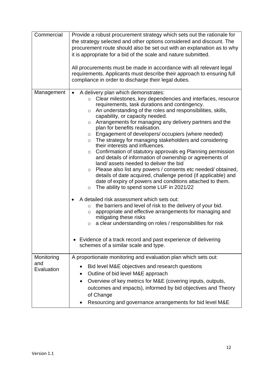| Commercial        | Provide a robust procurement strategy which sets out the rationale for                               |  |  |  |
|-------------------|------------------------------------------------------------------------------------------------------|--|--|--|
|                   | the strategy selected and other options considered and discount. The                                 |  |  |  |
|                   | procurement route should also be set out with an explanation as to why                               |  |  |  |
|                   | it is appropriate for a bid of the scale and nature submitted.                                       |  |  |  |
|                   |                                                                                                      |  |  |  |
|                   | All procurements must be made in accordance with all relevant legal                                  |  |  |  |
|                   | requirements. Applicants must describe their approach to ensuring full                               |  |  |  |
|                   | compliance in order to discharge their legal duties.                                                 |  |  |  |
|                   |                                                                                                      |  |  |  |
| Management        | A delivery plan which demonstrates:<br>$\bullet$                                                     |  |  |  |
|                   | Clear milestones, key dependencies and interfaces, resource<br>$\circ$                               |  |  |  |
|                   | requirements, task durations and contingency.                                                        |  |  |  |
|                   | An understanding of the roles and responsibilities, skills,<br>$\circ$                               |  |  |  |
|                   | capability, or capacity needed.                                                                      |  |  |  |
|                   | Arrangements for managing any delivery partners and the<br>$\circ$<br>plan for benefits realisation. |  |  |  |
|                   | Engagement of developers/ occupiers (where needed)<br>$\circ$                                        |  |  |  |
|                   | The strategy for managing stakeholders and considering<br>$\circ$                                    |  |  |  |
|                   | their interests and influences.                                                                      |  |  |  |
|                   | Confirmation of statutory approvals eg Planning permission<br>$\circ$                                |  |  |  |
|                   | and details of information of ownership or agreements of                                             |  |  |  |
|                   | land/assets needed to deliver the bid                                                                |  |  |  |
|                   | Please also list any powers / consents etc needed/ obtained,<br>$\circ$                              |  |  |  |
|                   | details of date acquired, challenge period (if applicable) and                                       |  |  |  |
|                   | date of expiry of powers and conditions attached to them.                                            |  |  |  |
|                   | The ability to spend some LUF in 2021/22<br>$\circ$                                                  |  |  |  |
|                   | A detailed risk assessment which sets out:                                                           |  |  |  |
|                   | the barriers and level of risk to the delivery of your bid.                                          |  |  |  |
|                   | $\circ$<br>appropriate and effective arrangements for managing and                                   |  |  |  |
|                   | $\circ$<br>mitigating these risks                                                                    |  |  |  |
|                   | a clear understanding on roles / responsibilities for risk<br>$\circ$                                |  |  |  |
|                   |                                                                                                      |  |  |  |
|                   |                                                                                                      |  |  |  |
|                   | • Evidence of a track record and past experience of delivering                                       |  |  |  |
|                   | schemes of a similar scale and type.                                                                 |  |  |  |
|                   |                                                                                                      |  |  |  |
| Monitoring<br>and | A proportionate monitoring and evaluation plan which sets out:                                       |  |  |  |
| Evaluation        | Bid level M&E objectives and research questions                                                      |  |  |  |
|                   | Outline of bid level M&E approach<br>$\bullet$                                                       |  |  |  |
|                   | Overview of key metrics for M&E (covering inputs, outputs,<br>$\bullet$                              |  |  |  |
|                   |                                                                                                      |  |  |  |
|                   | outcomes and impacts), informed by bid objectives and Theory                                         |  |  |  |
|                   | of Change                                                                                            |  |  |  |
|                   | Resourcing and governance arrangements for bid level M&E                                             |  |  |  |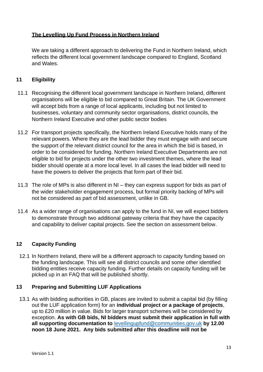#### <span id="page-12-0"></span>**The Levelling Up Fund Process in Northern Ireland**

 reflects the different local government landscape compared to England, Scotland We are taking a different approach to delivering the Fund in Northern Ireland, which and Wales.

## **11 Eligibility**

- 11.1 Recognising the different local government landscape in Northern Ireland, different organisations will be eligible to bid compared to Great Britain. The UK Government will accept bids from a range of local applicants, including but not limited to businesses, voluntary and community sector organisations, district councils, the Northern Ireland Executive and other public sector bodies
- 11.2 For transport projects specifically, the Northern Ireland Executive holds many of the relevant powers. Where they are the lead bidder they must engage with and secure the support of the relevant district council for the area in which the bid is based, in order to be considered for funding. Northern Ireland Executive Departments are not eligible to bid for projects under the other two investment themes, where the lead bidder should operate at a more local level. In all cases the lead bidder will need to have the powers to deliver the projects that form part of their bid.
- 11.3 The role of MPs is also different in NI they can express support for bids as part of the wider stakeholder engagement process, but formal priority backing of MPs will not be considered as part of bid assessment, unlike in GB.
- 11.4 As a wider range of organisations can apply to the fund in NI, we will expect bidders to demonstrate through two additional gateway criteria that they have the capacity and capability to deliver capital projects. See the section on assessment below.

#### **12 Capacity Funding**

 12.1 In Northern Ireland, there will be a different approach to capacity funding based on the funding landscape. This will see all district councils and some other identified bidding entities receive capacity funding. Further details on capacity funding will be picked up in an FAQ that will be published shortly.

#### **13 Preparing and Submitting LUF Applications**

 13.1 As with bidding authorities in GB, places are invited to submit a capital bid (by filling out the LUF application form) for an **individual project or a package of projects**, up to £20 million in value. Bids for larger transport schemes will be considered by  exception. **As with GB bids, NI bidders must submit their application in full with noon 18 June 2021. Any bids submitted after this deadline will not be all supporting documentation to** [levellingupfund@communities.gov.uk](mailto:levellingupfund@communities.gov.uk) **by 12.00**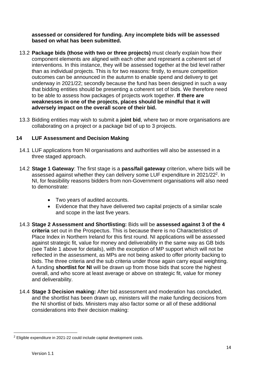#### <span id="page-13-0"></span> **assessed or considered for funding. Any incomplete bids will be assessed based on what has been submitted.**

- 13.2 **Package bids (those with two or three projects)** must clearly explain how their component elements are aligned with each other and represent a coherent set of interventions. In this instance, they will be assessed together at the bid level rather than as individual projects. This is for two reasons: firstly, to ensure competition outcomes can be announced in the autumn to enable spend and delivery to get underway in 2021/22; secondly because the fund has been designed in such a way that bidding entities should be presenting a coherent set of bids. We therefore need to be able to assess how packages of projects work together. **If there are weaknesses in one of the projects, places should be mindful that it will adversely impact on the overall score of their bid.**
- 13.3 Bidding entities may wish to submit a **joint bid**, where two or more organisations are collaborating on a project or a package bid of up to 3 projects.

#### **14 LUF Assessment and Decision Making**

- 14.1 LUF applications from NI organisations and authorities will also be assessed in a three staged approach.
- 14.2 **Stage 1 Gateway**: The first stage is a **pass/fail gateway** criterion, where bids will be assessed against whether they can delivery some LUF expenditure in 2021/22<sup>2</sup>. In NI, for feasibility reasons bidders from non-Government organisations will also need to demonstrate:
	- Two years of audited accounts.
	- and scope in the last five years. • Evidence that they have delivered two capital projects of a similar scale
- 14.3 **Stage 2 Assessment and Shortlisting:** Bids will be **assessed against 3 of the 4 criteria** set out in the Prospectus. This is because there is no Characteristics of Place Index in Northern Ireland for this first round. NI applications will be assessed against strategic fit, value for money and deliverability in the same way as GB bids (see Table 1 above for details), with the exception of MP support which will not be reflected in the assessment, as MPs are not being asked to offer priority backing to bids. The three criteria and the sub criteria under those again carry equal weighting.  A funding **shortlist for NI** will be drawn up from those bids that score the highest overall, and who score at least average or above on strategic fit, value for money and deliverability.
- 14.4 **Stage 3 Decision making:** After bid assessment and moderation has concluded, and the shortlist has been drawn up, ministers will the make funding decisions from the NI shortlist of bids. Ministers may also factor some or all of these additional considerations into their decision making:

<sup>&</sup>lt;sup>2</sup> Eligible expenditure in 2021-22 could include capital development costs.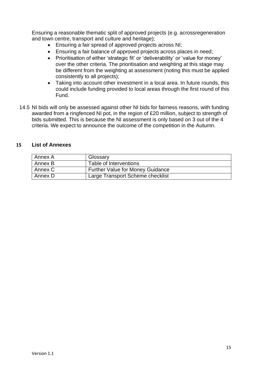<span id="page-14-0"></span>Ensuring a reasonable thematic split of approved projects (e.g. acrossregeneration and town centre, transport and culture and heritage);

- Ensuring a fair spread of approved projects across NI;
- Ensuring a fair balance of approved projects across places in need;
- • Prioritisation of either 'strategic fit' or 'deliverability' or 'value for money' over the other criteria. The prioritisation and weighting at this stage may be different from the weighting at assessment (noting this must be applied consistently to all projects);
- • Taking into account other investment in a local area. In future rounds, this could include funding provided to local areas through the first round of this Fund.
- 14.5 NI bids will only be assessed against other NI bids for fairness reasons, with funding awarded from a ringfenced NI pot, in the region of £20 million, subject to strength of bids submitted. This is because the NI assessment is only based on 3 out of the 4 criteria. We expect to announce the outcome of the competition in the Autumn.

#### **15 List of Annexes**

| Annex A | Glossary                         |
|---------|----------------------------------|
| Annex B | Table of Interventions           |
| Annex C | Further Value for Money Guidance |
| Annex D | Large Transport Scheme checklist |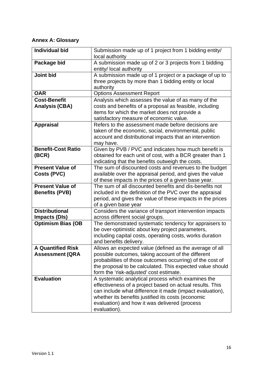#### <span id="page-15-0"></span>**Annex A: Glossary**

| <b>Individual bid</b>                              | Submission made up of 1 project from 1 bidding entity/<br>local authority                                                                                                                                                                                                                         |
|----------------------------------------------------|---------------------------------------------------------------------------------------------------------------------------------------------------------------------------------------------------------------------------------------------------------------------------------------------------|
| Package bid                                        | A submission made up of 2 or 3 projects from 1 bidding<br>entity/ local authority                                                                                                                                                                                                                 |
| <b>Joint bid</b>                                   | A submission made up of 1 project or a package of up to<br>three projects by more than 1 bidding entity or local<br>authority                                                                                                                                                                     |
| <b>OAR</b>                                         | <b>Options Assessment Report</b>                                                                                                                                                                                                                                                                  |
| <b>Cost-Benefit</b><br><b>Analysis (CBA)</b>       | Analysis which assesses the value of as many of the<br>costs and benefits of a proposal as feasible, including<br>items for which the market does not provide a<br>satisfactory measure of economic value.                                                                                        |
| <b>Appraisal</b>                                   | Refers to the assessment made before decisions are<br>taken of the economic, social, environmental, public<br>account and distributional impacts that an intervention<br>may have.                                                                                                                |
| <b>Benefit-Cost Ratio</b><br>(BCR)                 | Given by PVB / PVC and indicates how much benefit is<br>obtained for each unit of cost, with a BCR greater than 1<br>indicating that the benefits outweigh the costs.                                                                                                                             |
| <b>Present Value of</b><br>Costs (PVC)             | The sum of discounted costs and revenues to the budget<br>available over the appraisal period, and gives the value<br>of these impacts in the prices of a given base year.                                                                                                                        |
| <b>Present Value of</b><br><b>Benefits (PVB)</b>   | The sum of all discounted benefits and dis-benefits not<br>included in the definition of the PVC over the appraisal<br>period, and gives the value of these impacts in the prices<br>of a given base year                                                                                         |
| <b>Distributional</b><br><b>Impacts (DIs)</b>      | Considers the variance of transport intervention impacts<br>across different social groups.                                                                                                                                                                                                       |
| <b>Optimism Bias (OB</b>                           | The demonstrated systematic tendency for appraisers to<br>be over-optimistic about key project parameters,<br>including capital costs, operating costs, works duration<br>and benefits delivery.                                                                                                  |
| <b>A Quantified Risk</b><br><b>Assessment (QRA</b> | Allows an expected value (defined as the average of all<br>possible outcomes, taking account of the different<br>probabilities of those outcomes occurring) of the cost of<br>the proposal to be calculated. This expected value should<br>form the 'risk-adjusted' cost estimate.                |
| <b>Evaluation</b>                                  | A systematic analytical process which examines the<br>effectiveness of a project based on actual results. This<br>can include what difference it made (impact evaluation),<br>whether its benefits justified its costs (economic<br>evaluation) and how it was delivered (process<br>evaluation). |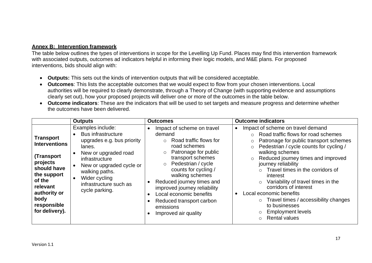#### <span id="page-16-0"></span>**Annex B: Intervention framework**

 The table below outlines the types of interventions in scope for the Levelling Up Fund. Places may find this intervention framework with associated outputs, outcomes ad indicators helpful in informing their logic models, and M&E plans. For proposed interventions, bids should align with:

- **Outputs:** This sets out the kinds of intervention outputs that will be considered acceptable.
- • **Outcomes**: This lists the acceptable outcomes that we would expect to flow from your chosen interventions. Local authorities will be required to clearly demonstrate, through a Theory of Change (with supporting evidence and assumptions clearly set out), how your proposed projects will deliver one or more of the outcomes in the table below.
- • **Outcome indicators**: These are the indicators that will be used to set targets and measure progress and determine whether the outcomes have been delivered.

|                                                                                                                                                                                 | <b>Outputs</b>                                                                                                                                                                                                                              | <b>Outcomes</b>                                                                                                                                                                                                                                                                                                                                                                        | <b>Outcome indicators</b>                                                                                                                                                                                                                                                                                                                                                                                                                                                                                                                                                     |
|---------------------------------------------------------------------------------------------------------------------------------------------------------------------------------|---------------------------------------------------------------------------------------------------------------------------------------------------------------------------------------------------------------------------------------------|----------------------------------------------------------------------------------------------------------------------------------------------------------------------------------------------------------------------------------------------------------------------------------------------------------------------------------------------------------------------------------------|-------------------------------------------------------------------------------------------------------------------------------------------------------------------------------------------------------------------------------------------------------------------------------------------------------------------------------------------------------------------------------------------------------------------------------------------------------------------------------------------------------------------------------------------------------------------------------|
| <b>Transport</b><br><b>Interventions</b><br>(Transport<br>projects<br>should have<br>the support<br>of the<br>relevant<br>authority or<br>body<br>responsible<br>for delivery). | Examples include:<br><b>Bus infrastructure</b><br>upgrades e.g. bus priority<br>lanes.<br>New or upgraded road<br>infrastructure<br>New or upgraded cycle or<br>walking paths.<br>Wider cycling<br>infrastructure such as<br>cycle parking. | Impact of scheme on travel<br>demand<br>Road traffic flows for<br>$\circ$<br>road schemes<br>Patronage for public<br>$\circ$<br>transport schemes<br>Pedestrian / cycle<br>$\circ$<br>counts for cycling /<br>walking schemes<br>Reduced journey times and<br>improved journey reliability<br>Local economic benefits<br>Reduced transport carbon<br>emissions<br>Improved air quality | Impact of scheme on travel demand<br>Road traffic flows for road schemes<br>Patronage for public transport schemes<br>$\circ$<br>Pedestrian / cycle counts for cycling /<br>$\circ$<br>walking schemes<br>Reduced journey times and improved<br>$\circ$<br>journey reliability<br>$\circ$ Travel times in the corridors of<br>interest<br>Variability of travel times in the<br>$\circ$<br>corridors of interest<br>Local economic benefits<br>$\circ$ Travel times / accessibility changes<br>to businesses<br><b>Employment levels</b><br><b>Rental values</b><br>$\bigcap$ |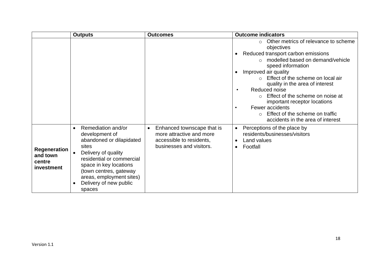|                                                         | <b>Outputs</b>                                                                                                                                                                                                                                    | <b>Outcomes</b>                                                                                                             | <b>Outcome indicators</b>                                                                                                                                                                                                                                                                                                                                                                                                                                                       |
|---------------------------------------------------------|---------------------------------------------------------------------------------------------------------------------------------------------------------------------------------------------------------------------------------------------------|-----------------------------------------------------------------------------------------------------------------------------|---------------------------------------------------------------------------------------------------------------------------------------------------------------------------------------------------------------------------------------------------------------------------------------------------------------------------------------------------------------------------------------------------------------------------------------------------------------------------------|
|                                                         |                                                                                                                                                                                                                                                   |                                                                                                                             | Other metrics of relevance to scheme<br>$\circ$<br>objectives<br>Reduced transport carbon emissions<br>modelled based on demand/vehicle<br>$\Omega$<br>speed information<br>Improved air quality<br>Effect of the scheme on local air<br>quality in the area of interest<br>Reduced noise<br>Effect of the scheme on noise at<br>$\circ$<br>important receptor locations<br>Fewer accidents<br>Effect of the scheme on traffic<br>$\Omega$<br>accidents in the area of interest |
| <b>Regeneration</b><br>and town<br>centre<br>investment | Remediation and/or<br>development of<br>abandoned or dilapidated<br>sites<br>Delivery of quality<br>residential or commercial<br>space in key locations<br>(town centres, gateway<br>areas, employment sites)<br>Delivery of new public<br>spaces | Enhanced townscape that is<br>$\bullet$<br>more attractive and more<br>accessible to residents,<br>businesses and visitors. | Perceptions of the place by<br>$\bullet$<br>residents/businesses/visitors<br>Land values<br>$\bullet$<br>Footfall<br>$\bullet$                                                                                                                                                                                                                                                                                                                                                  |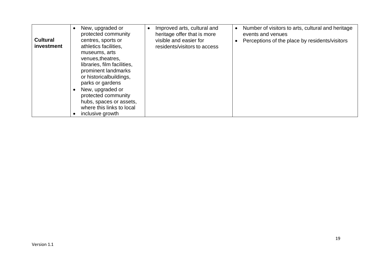| <b>Cultural</b><br>investment | New, upgraded or<br>protected community<br>centres, sports or<br>athletics facilities,<br>museums, arts<br>venues, the atres,<br>libraries, film facilities,<br>prominent landmarks<br>or historicalbuildings,<br>parks or gardens<br>New, upgraded or<br>protected community<br>hubs, spaces or assets,<br>where this links to local<br>inclusive growth | Improved arts, cultural and<br>$\bullet$<br>heritage offer that is more<br>visible and easier for<br>residents/visitors to access | Number of visitors to arts, cultural and heritage<br>$\bullet$<br>events and venues<br>Perceptions of the place by residents/visitors |
|-------------------------------|-----------------------------------------------------------------------------------------------------------------------------------------------------------------------------------------------------------------------------------------------------------------------------------------------------------------------------------------------------------|-----------------------------------------------------------------------------------------------------------------------------------|---------------------------------------------------------------------------------------------------------------------------------------|
|-------------------------------|-----------------------------------------------------------------------------------------------------------------------------------------------------------------------------------------------------------------------------------------------------------------------------------------------------------------------------------------------------------|-----------------------------------------------------------------------------------------------------------------------------------|---------------------------------------------------------------------------------------------------------------------------------------|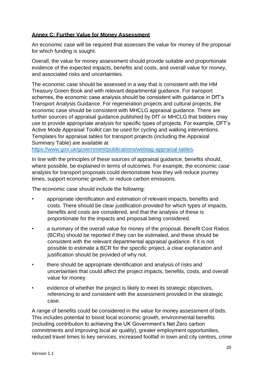#### <span id="page-19-0"></span>**Annex C: Further Value for Money Assessment**

 An economic case will be required that assesses the value for money of the proposal for which funding is sought.

 Overall, the value for money assessment should provide suitable and proportionate evidence of the expected impacts, benefits and costs, and overall value for money, and associated risks and uncertainties.

 The economic case should be assessed in a way that is consistent with the HM Treasury Green Book and with relevant departmental guidance. For transport schemes, the economic case analysis should be consistent with guidance in DfT's Transport Analysis Guidance. For regeneration projects and cultural projects, the economic case should be consistent with MHCLG appraisal guidance. There are further sources of appraisal guidance published by DfT or MHCLG that bidders may use to provide appropriate analysis for specific types of projects. For example, DFT's Templates for appraisal tables for transport projects (including the Appraisal Summary Table) are available at Active Mode Appraisal Toolkit can be used for cycling and walking interventions.

[https://www.gov.uk/government/publications/webtag-appraisal-tables.](https://www.gov.uk/government/publications/webtag-appraisal-tables)

 In line with the principles of these sources of appraisal guidance, benefits should, analysis for transport proposals could demonstrate how they will reduce journey where possible, be explained in terms of outcomes. For example, the economic case times, support economic growth, or reduce carbon emissions.

The economic case should include the following:

- • appropriate identification and estimation of relevant impacts, benefits and costs. There should be clear justification provided for which types of impacts, benefits and costs are considered, and that the analysis of these is proportionate for the impacts and proposal being considered.
- • a summary of the overall value for money of the proposal. Benefit Cost Ratios (BCRs) should be reported if they can be estimated, and these should be consistent with the relevant departmental appraisal guidance. If it is not possible to estimate a BCR for the specific project, a clear explanation and justification should be provided of why not.
- • there should be appropriate identification and analysis of risks and uncertainties that could affect the project impacts, benefits, costs, and overall value for money.
- • evidence of whether the project is likely to meet its strategic objectives, referencing to and consistent with the assessment provided in the strategic case.

 This includes potential to boost local economic growth, environmental benefits (including contribution to achieving the UK Government's Net Zero carbon A range of benefits could be considered in the value for money assessment of bids. commitments and improving local air quality), greater employment opportunities, reduced travel times to key services, increased footfall in town and city centres, crime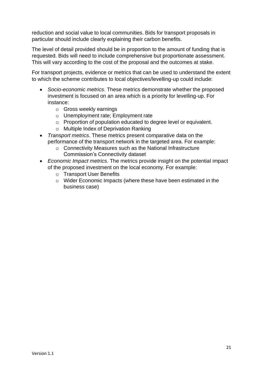reduction and social value to local communities. Bids for transport proposals in particular should include clearly explaining their carbon benefits.

 The level of detail provided should be in proportion to the amount of funding that is requested. Bids will need to include comprehensive but proportionate assessment. This will vary according to the cost of the proposal and the outcomes at stake.

 For transport projects, evidence or metrics that can be used to understand the extent to which the scheme contributes to local objectives/levelling-up could include:

- • *Socio-economic metrics*. These metrics demonstrate whether the proposed investment is focused on an area which is a priority for levelling-up. For instance:
	- o Gross weekly earnings
	- o Unemployment rate; Employment rate
	- o Proportion of population educated to degree level or equivalent.
	- o Multiple Index of Deprivation Ranking
- • *Transport metrics*. These metrics present comparative data on the performance of the transport network in the targeted area. For example:
	- o Connectivity Measures such as the National Infrastructure Commission's Connectivity dataset
- • *Economic Impact metrics*. The metrics provide insight on the potential impact of the proposed investment on the local economy. For example:
	- o Transport User Benefits
	- o Wider Economic Impacts (where these have been estimated in the business case)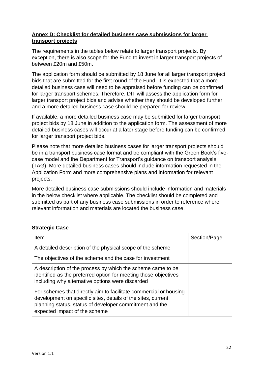#### <span id="page-21-0"></span>**Annex D: Checklist for detailed business case submissions for larger transport projects**

 The requirements in the tables below relate to larger transport projects. By exception, there is also scope for the Fund to invest in larger transport projects of between £20m and £50m.

 The application form should be submitted by 18 June for all larger transport project bids that are submitted for the first round of the Fund. It is expected that a more detailed business case will need to be appraised before funding can be confirmed for larger transport schemes. Therefore, DfT will assess the application form for larger transport project bids and advise whether they should be developed further and a more detailed business case should be prepared for review.

 If available, a more detailed business case may be submitted for larger transport project bids by 18 June in addition to the application form. The assessment of more detailed business cases will occur at a later stage before funding can be confirmed for larger transport project bids.

 Please note that more detailed business cases for larger transport projects should be in a transport business case format and be compliant with the Green Book's five- case model and the Department for Transport's guidance on transport analysis (TAG). More detailed business cases should include information requested in the Application Form and more comprehensive plans and information for relevant projects.

 More detailed business case submissions should include information and materials in the below checklist where applicable. The checklist should be completed and submitted as part of any business case submissions in order to reference where relevant information and materials are located the business case.

# **Strategic Case**

| Item                                                                                                                                                                                                                          | Section/Page |
|-------------------------------------------------------------------------------------------------------------------------------------------------------------------------------------------------------------------------------|--------------|
| A detailed description of the physical scope of the scheme                                                                                                                                                                    |              |
| The objectives of the scheme and the case for investment                                                                                                                                                                      |              |
| A description of the process by which the scheme came to be<br>identified as the preferred option for meeting those objectives<br>including why alternative options were discarded                                            |              |
| For schemes that directly aim to facilitate commercial or housing<br>development on specific sites, details of the sites, current<br>planning status, status of developer commitment and the<br>expected impact of the scheme |              |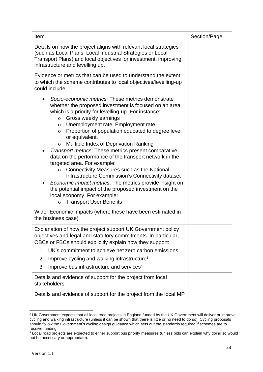| Item                                                                                                                                                                                                                                                                                                                                                                                                                                                                                                                                                                                                                                                                                                                                                                                                                                                                                              | Section/Page |
|---------------------------------------------------------------------------------------------------------------------------------------------------------------------------------------------------------------------------------------------------------------------------------------------------------------------------------------------------------------------------------------------------------------------------------------------------------------------------------------------------------------------------------------------------------------------------------------------------------------------------------------------------------------------------------------------------------------------------------------------------------------------------------------------------------------------------------------------------------------------------------------------------|--------------|
| Details on how the project aligns with relevant local strategies<br>(such as Local Plans, Local Industrial Strategies or Local<br>Transport Plans) and local objectives for investment, improving<br>infrastructure and levelling up.                                                                                                                                                                                                                                                                                                                                                                                                                                                                                                                                                                                                                                                             |              |
| Evidence or metrics that can be used to understand the extent<br>to which the scheme contributes to local objectives/levelling-up<br>could include:                                                                                                                                                                                                                                                                                                                                                                                                                                                                                                                                                                                                                                                                                                                                               |              |
| Socio-economic metrics. These metrics demonstrate<br>whether the proposed investment is focused on an area<br>which is a priority for levelling-up. For instance:<br>Gross weekly earnings<br>$\mathbf 0$<br>Unemployment rate; Employment rate<br>$\mathbf{0}$<br>Proportion of population educated to degree level<br>$\Omega$<br>or equivalent.<br>Multiple Index of Deprivation Ranking<br>$\mathbf 0$<br>Transport metrics. These metrics present comparative<br>$\bullet$<br>data on the performance of the transport network in the<br>targeted area. For example:<br>Connectivity Measures such as the National<br>$\mathbf{0}$<br>Infrastructure Commission's Connectivity dataset<br>Economic Impact metrics. The metrics provide insight on<br>the potential impact of the proposed investment on the<br>local economy. For example:<br><b>Transport User Benefits</b><br>$\mathbf{O}$ |              |
| Wider Economic Impacts (where these have been estimated in<br>the business case)                                                                                                                                                                                                                                                                                                                                                                                                                                                                                                                                                                                                                                                                                                                                                                                                                  |              |
| Explanation of how the project support UK Government policy<br>objectives and legal and statutory commitments. In particular,<br>OBCs or FBCs should explicitly explain how they support:<br>1. UK's commitment to achieve net zero carbon emissions;<br>Improve cycling and walking infrastructure <sup>3</sup><br>2.<br>Improve bus infrastructure and services <sup>4</sup><br>3.                                                                                                                                                                                                                                                                                                                                                                                                                                                                                                              |              |
| Details and evidence of support for the project from local<br>stakeholders                                                                                                                                                                                                                                                                                                                                                                                                                                                                                                                                                                                                                                                                                                                                                                                                                        |              |
| Details and evidence of support for the project from the local MP                                                                                                                                                                                                                                                                                                                                                                                                                                                                                                                                                                                                                                                                                                                                                                                                                                 |              |

<sup>&</sup>lt;sup>3</sup> UK Government expects that all local road projects in England funded by the UK Government will deliver or improve cycling and walking infrastructure (unless it can be shown that there is little or no need to do so). Cycling proposals should follow the Government's cycling design guidance which sets out the standards required if schemes are to receive funding.

<sup>&</sup>lt;sup>4</sup> Local road projects are expected to either support bus priority measures (unless bids can explain why doing so would not be necessary or appropriate).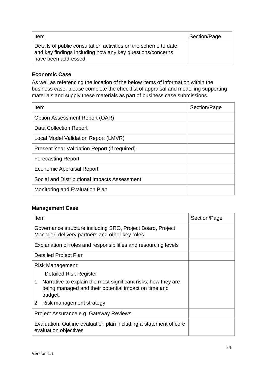| Item                                                                                                                                                  | Section/Page |
|-------------------------------------------------------------------------------------------------------------------------------------------------------|--------------|
| Details of public consultation activities on the scheme to date,<br>and key findings including how any key questions/concerns<br>have been addressed. |              |

## **Economic Case**

 business case, please complete the checklist of appraisal and modelling supporting As well as referencing the location of the below items of information within the materials and supply these materials as part of business case submissions.

| <b>Item</b>                                  | Section/Page |
|----------------------------------------------|--------------|
| Option Assessment Report (OAR)               |              |
| Data Collection Report                       |              |
| Local Model Validation Report (LMVR)         |              |
| Present Year Validation Report (if required) |              |
| <b>Forecasting Report</b>                    |              |
| Economic Appraisal Report                    |              |
| Social and Distributional Impacts Assessment |              |
| Monitoring and Evaluation Plan               |              |

#### **Management Case**

| Item                                                                                                                                  | Section/Page |
|---------------------------------------------------------------------------------------------------------------------------------------|--------------|
| Governance structure including SRO, Project Board, Project<br>Manager, delivery partners and other key roles                          |              |
| Explanation of roles and responsibilities and resourcing levels                                                                       |              |
| <b>Detailed Project Plan</b>                                                                                                          |              |
| Risk Management:                                                                                                                      |              |
| <b>Detailed Risk Register</b>                                                                                                         |              |
| Narrative to explain the most significant risks; how they are<br>1<br>being managed and their potential impact on time and<br>budget. |              |
| Risk management strategy<br>2 <sup>1</sup>                                                                                            |              |
| Project Assurance e.g. Gateway Reviews                                                                                                |              |
| Evaluation: Outline evaluation plan including a statement of core<br>evaluation objectives                                            |              |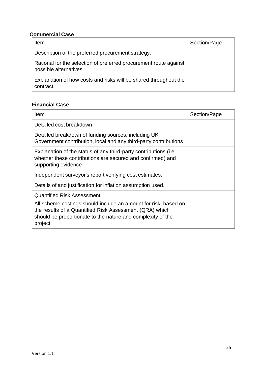#### **Commercial Case**

| Item                                                                                        | Section/Page |
|---------------------------------------------------------------------------------------------|--------------|
| Description of the preferred procurement strategy.                                          |              |
| Rational for the selection of preferred procurement route against<br>possible alternatives. |              |
| Explanation of how costs and risks will be shared throughout the<br>contract.               |              |

# **Financial Case**

| Item                                                                                                                                                                                                                                       | Section/Page |
|--------------------------------------------------------------------------------------------------------------------------------------------------------------------------------------------------------------------------------------------|--------------|
| Detailed cost breakdown                                                                                                                                                                                                                    |              |
| Detailed breakdown of funding sources, including UK<br>Government contribution, local and any third-party contributions                                                                                                                    |              |
| Explanation of the status of any third-party contributions (i.e.<br>whether these contributions are secured and confirmed) and<br>supporting evidence                                                                                      |              |
| Independent surveyor's report verifying cost estimates.                                                                                                                                                                                    |              |
| Details of and justification for inflation assumption used.                                                                                                                                                                                |              |
| <b>Quantified Risk Assessment</b><br>All scheme costings should include an amount for risk, based on<br>the results of a Quantified Risk Assessment (QRA) which<br>should be proportionate to the nature and complexity of the<br>project. |              |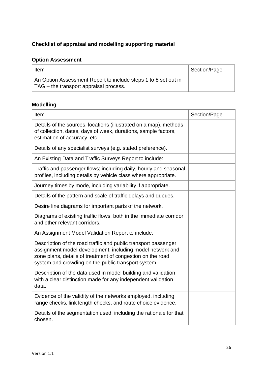#### **Checklist of appraisal and modelling supporting material**

# **Option Assessment**

| Item                                                                                                     | Section/Page |
|----------------------------------------------------------------------------------------------------------|--------------|
| An Option Assessment Report to include steps 1 to 8 set out in<br>TAG – the transport appraisal process. |              |

# **Modelling**

| Item                                                                                                                                                                                                                                             | Section/Page |
|--------------------------------------------------------------------------------------------------------------------------------------------------------------------------------------------------------------------------------------------------|--------------|
| Details of the sources, locations (illustrated on a map), methods<br>of collection, dates, days of week, durations, sample factors,<br>estimation of accuracy, etc.                                                                              |              |
| Details of any specialist surveys (e.g. stated preference).                                                                                                                                                                                      |              |
| An Existing Data and Traffic Surveys Report to include:                                                                                                                                                                                          |              |
| Traffic and passenger flows; including daily, hourly and seasonal<br>profiles, including details by vehicle class where appropriate.                                                                                                             |              |
| Journey times by mode, including variability if appropriate.                                                                                                                                                                                     |              |
| Details of the pattern and scale of traffic delays and queues.                                                                                                                                                                                   |              |
| Desire line diagrams for important parts of the network.                                                                                                                                                                                         |              |
| Diagrams of existing traffic flows, both in the immediate corridor<br>and other relevant corridors.                                                                                                                                              |              |
| An Assignment Model Validation Report to include:                                                                                                                                                                                                |              |
| Description of the road traffic and public transport passenger<br>assignment model development, including model network and<br>zone plans, details of treatment of congestion on the road<br>system and crowding on the public transport system. |              |
| Description of the data used in model building and validation<br>with a clear distinction made for any independent validation<br>data.                                                                                                           |              |
| Evidence of the validity of the networks employed, including<br>range checks, link length checks, and route choice evidence.                                                                                                                     |              |
| Details of the segmentation used, including the rationale for that<br>chosen.                                                                                                                                                                    |              |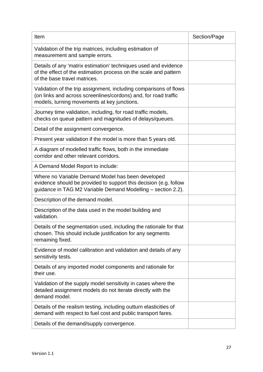| Item                                                                                                                                                                                   | Section/Page |
|----------------------------------------------------------------------------------------------------------------------------------------------------------------------------------------|--------------|
| Validation of the trip matrices, including estimation of<br>measurement and sample errors.                                                                                             |              |
| Details of any 'matrix estimation' techniques used and evidence<br>of the effect of the estimation process on the scale and pattern<br>of the base travel matrices.                    |              |
| Validation of the trip assignment, including comparisons of flows<br>(on links and across screenlines/cordons) and, for road traffic<br>models, turning movements at key junctions.    |              |
| Journey time validation, including, for road traffic models,<br>checks on queue pattern and magnitudes of delays/queues.                                                               |              |
| Detail of the assignment convergence.                                                                                                                                                  |              |
| Present year validation if the model is more than 5 years old.                                                                                                                         |              |
| A diagram of modelled traffic flows, both in the immediate<br>corridor and other relevant corridors.                                                                                   |              |
| A Demand Model Report to include:                                                                                                                                                      |              |
| Where no Variable Demand Model has been developed<br>evidence should be provided to support this decision (e.g. follow<br>guidance in TAG M2 Variable Demand Modelling - section 2.2). |              |
| Description of the demand model.                                                                                                                                                       |              |
| Description of the data used in the model building and<br>validation.                                                                                                                  |              |
| Details of the segmentation used, including the rationale for that<br>chosen. This should include justification for any segments<br>remaining fixed.                                   |              |
| Evidence of model calibration and validation and details of any<br>sensitivity tests.                                                                                                  |              |
| Details of any imported model components and rationale for<br>their use.                                                                                                               |              |
| Validation of the supply model sensitivity in cases where the<br>detailed assignment models do not iterate directly with the<br>demand model.                                          |              |
| Details of the realism testing, including outturn elasticities of<br>demand with respect to fuel cost and public transport fares.                                                      |              |
| Details of the demand/supply convergence.                                                                                                                                              |              |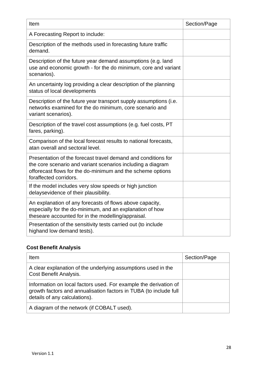| Item                                                                                                                                                                                                                 | Section/Page |
|----------------------------------------------------------------------------------------------------------------------------------------------------------------------------------------------------------------------|--------------|
| A Forecasting Report to include:                                                                                                                                                                                     |              |
| Description of the methods used in forecasting future traffic<br>demand.                                                                                                                                             |              |
| Description of the future year demand assumptions (e.g. land<br>use and economic growth - for the do minimum, core and variant<br>scenarios).                                                                        |              |
| An uncertainty log providing a clear description of the planning<br>status of local developments                                                                                                                     |              |
| Description of the future year transport supply assumptions (i.e.<br>networks examined for the do minimum, core scenario and<br>variant scenarios).                                                                  |              |
| Description of the travel cost assumptions (e.g. fuel costs, PT<br>fares, parking).                                                                                                                                  |              |
| Comparison of the local forecast results to national forecasts,<br>atan overall and sectoral level.                                                                                                                  |              |
| Presentation of the forecast travel demand and conditions for<br>the core scenario and variant scenarios including a diagram<br>offorecast flows for the do-minimum and the scheme options<br>foraffected corridors. |              |
| If the model includes very slow speeds or high junction<br>delaysevidence of their plausibility.                                                                                                                     |              |
| An explanation of any forecasts of flows above capacity,<br>especially for the do-minimum, and an explanation of how<br>theseare accounted for in the modelling/appraisal.                                           |              |
| Presentation of the sensitivity tests carried out (to include<br>highand low demand tests).                                                                                                                          |              |

# **Cost Benefit Analysis**

| Item                                                                                                                                                                   | Section/Page |
|------------------------------------------------------------------------------------------------------------------------------------------------------------------------|--------------|
| A clear explanation of the underlying assumptions used in the<br>Cost Benefit Analysis.                                                                                |              |
| Information on local factors used. For example the derivation of<br>growth factors and annualisation factors in TUBA (to include full<br>details of any calculations). |              |
| A diagram of the network (if COBALT used).                                                                                                                             |              |